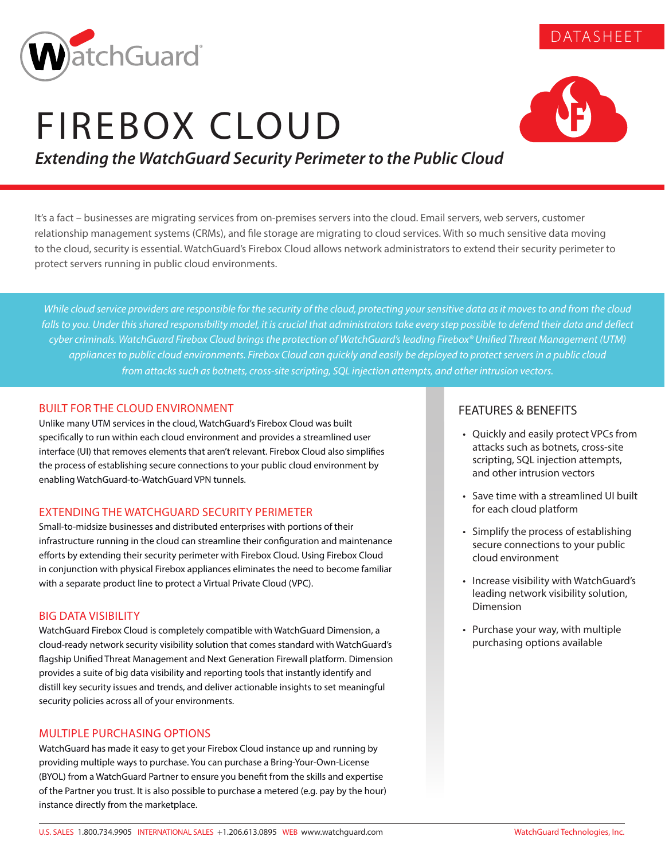

# FIREBOX CLOUD



DATASHEET

# *Extending the WatchGuard Security Perimeter to the Public Cloud*

It's a fact – businesses are migrating services from on-premises servers into the cloud. Email servers, web servers, customer relationship management systems (CRMs), and file storage are migrating to cloud services. With so much sensitive data moving to the cloud, security is essential. WatchGuard's Firebox Cloud allows network administrators to extend their security perimeter to protect servers running in public cloud environments.

*While cloud service providers are responsible for the security of the cloud, protecting your sensitive data as it moves to and from the cloud*  falls to you. Under this shared responsibility model, it is crucial that administrators take every step possible to defend their data and deflect *cyber criminals. WatchGuard Firebox Cloud brings the protection of WatchGuard's leading Firebox® Unified Threat Management (UTM) appliances to public cloud environments. Firebox Cloud can quickly and easily be deployed to protect servers in a public cloud from attacks such as botnets, cross-site scripting, SQL injection attempts, and other intrusion vectors.* 

# BUILT FOR THE CLOUD ENVIRONMENT

Unlike many UTM services in the cloud, WatchGuard's Firebox Cloud was built specifically to run within each cloud environment and provides a streamlined user interface (UI) that removes elements that aren't relevant. Firebox Cloud also simplifies the process of establishing secure connections to your public cloud environment by enabling WatchGuard-to-WatchGuard VPN tunnels.

# EXTENDING THE WATCHGUARD SECURITY PERIMETER

Small-to-midsize businesses and distributed enterprises with portions of their infrastructure running in the cloud can streamline their configuration and maintenance efforts by extending their security perimeter with Firebox Cloud. Using Firebox Cloud in conjunction with physical Firebox appliances eliminates the need to become familiar with a separate product line to protect a Virtual Private Cloud (VPC).

# BIG DATA VISIBILITY

WatchGuard Firebox Cloud is completely compatible with WatchGuard Dimension, a cloud-ready network security visibility solution that comes standard with WatchGuard's flagship Unified Threat Management and Next Generation Firewall platform. Dimension provides a suite of big data visibility and reporting tools that instantly identify and distill key security issues and trends, and deliver actionable insights to set meaningful security policies across all of your environments.

# MULTIPLE PURCHASING OPTIONS

WatchGuard has made it easy to get your Firebox Cloud instance up and running by providing multiple ways to purchase. You can purchase a Bring-Your-Own-License (BYOL) from a WatchGuard Partner to ensure you benefit from the skills and expertise of the Partner you trust. It is also possible to purchase a metered (e.g. pay by the hour) instance directly from the marketplace.

# FEATURES & BENEFITS

- Quickly and easily protect VPCs from attacks such as botnets, cross-site scripting, SQL injection attempts, and other intrusion vectors
- Save time with a streamlined UI built for each cloud platform
- Simplify the process of establishing secure connections to your public cloud environment
- Increase visibility with WatchGuard's leading network visibility solution, Dimension
- Purchase your way, with multiple purchasing options available